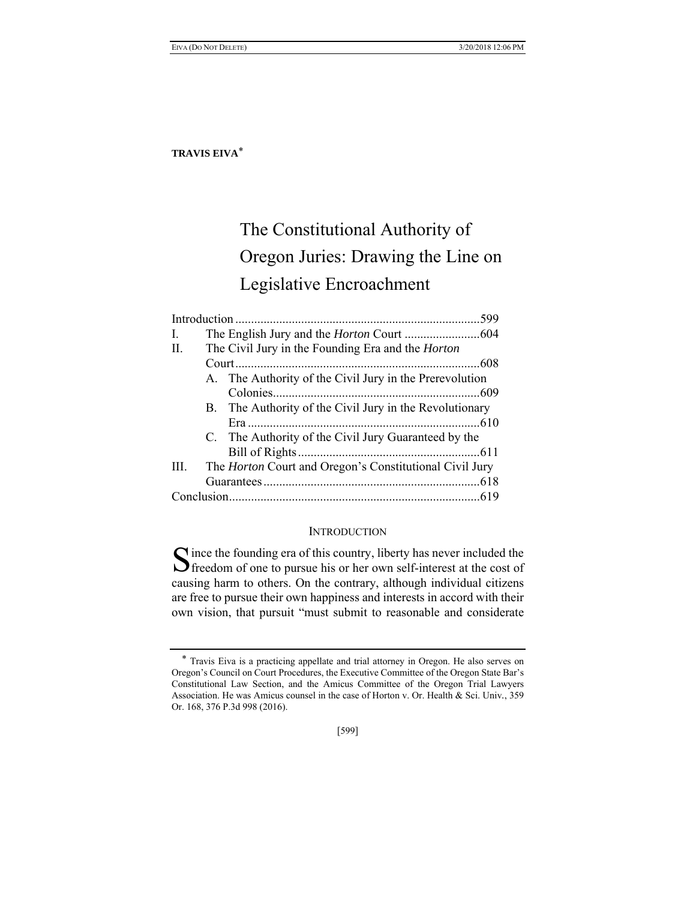# The Constitutional Authority of Oregon Juries: Drawing the Line on Legislative Encroachment

|      |  |                                                                | 599 |  |
|------|--|----------------------------------------------------------------|-----|--|
| L    |  |                                                                |     |  |
| H.   |  | The Civil Jury in the Founding Era and the <i>Horton</i>       |     |  |
|      |  |                                                                |     |  |
|      |  | A. The Authority of the Civil Jury in the Prerevolution        |     |  |
|      |  |                                                                |     |  |
|      |  | B. The Authority of the Civil Jury in the Revolutionary        |     |  |
|      |  |                                                                |     |  |
|      |  | C. The Authority of the Civil Jury Guaranteed by the           |     |  |
|      |  |                                                                |     |  |
| III. |  | The <i>Horton</i> Court and Oregon's Constitutional Civil Jury |     |  |
|      |  |                                                                |     |  |
|      |  |                                                                |     |  |
|      |  |                                                                |     |  |

## **INTRODUCTION**

ince the founding era of this country, liberty has never included the Since the founding era of this country, liberty has never included the Since of one to pursue his or her own self-interest at the cost of causing harm to others. On the contrary, although individual citizens are free to pursue their own happiness and interests in accord with their own vision, that pursuit "must submit to reasonable and considerate

[599]

<sup>\*</sup> Travis Eiva is a practicing appellate and trial attorney in Oregon. He also serves on Oregon's Council on Court Procedures, the Executive Committee of the Oregon State Bar's Constitutional Law Section, and the Amicus Committee of the Oregon Trial Lawyers Association. He was Amicus counsel in the case of Horton v. Or. Health & Sci. Univ*.*, 359 Or. 168, 376 P.3d 998 (2016).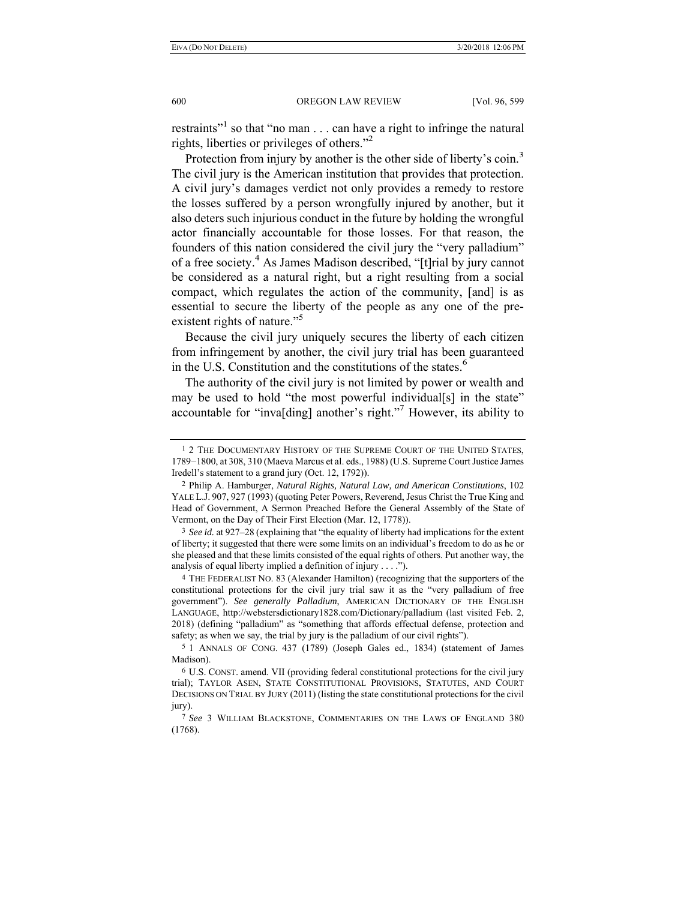restraints"<sup>1</sup> so that "no man  $\dots$  can have a right to infringe the natural rights, liberties or privileges of others."2

Protection from injury by another is the other side of liberty's coin.<sup>3</sup> The civil jury is the American institution that provides that protection. A civil jury's damages verdict not only provides a remedy to restore the losses suffered by a person wrongfully injured by another, but it also deters such injurious conduct in the future by holding the wrongful actor financially accountable for those losses. For that reason, the founders of this nation considered the civil jury the "very palladium" of a free society.<sup>4</sup> As James Madison described, "[t]rial by jury cannot be considered as a natural right, but a right resulting from a social compact, which regulates the action of the community, [and] is as essential to secure the liberty of the people as any one of the preexistent rights of nature."<sup>5</sup>

Because the civil jury uniquely secures the liberty of each citizen from infringement by another, the civil jury trial has been guaranteed in the U.S. Constitution and the constitutions of the states.<sup>6</sup>

The authority of the civil jury is not limited by power or wealth and may be used to hold "the most powerful individual[s] in the state" accountable for "inva[ding] another's right."7 However, its ability to

<sup>&</sup>lt;sup>1</sup> 2 THE DOCUMENTARY HISTORY OF THE SUPREME COURT OF THE UNITED STATES, 1789−1800, at 308, 310 (Maeva Marcus et al. eds., 1988) (U.S. Supreme Court Justice James Iredell's statement to a grand jury (Oct. 12, 1792)).

<sup>2</sup> Philip A. Hamburger, *Natural Rights, Natural Law, and American Constitutions*, 102 YALE L.J. 907, 927 (1993) (quoting Peter Powers, Reverend, Jesus Christ the True King and Head of Government, A Sermon Preached Before the General Assembly of the State of Vermont, on the Day of Their First Election (Mar. 12, 1778)).

<sup>3</sup> *See id.* at 927–28 (explaining that "the equality of liberty had implications for the extent of liberty; it suggested that there were some limits on an individual's freedom to do as he or she pleased and that these limits consisted of the equal rights of others. Put another way, the analysis of equal liberty implied a definition of injury . . . .").

<sup>4</sup> THE FEDERALIST NO. 83 (Alexander Hamilton) (recognizing that the supporters of the constitutional protections for the civil jury trial saw it as the "very palladium of free government"). *See generally Palladium*, AMERICAN DICTIONARY OF THE ENGLISH LANGUAGE, http://webstersdictionary1828.com/Dictionary/palladium (last visited Feb. 2, 2018) (defining "palladium" as "something that affords effectual defense, protection and safety; as when we say, the trial by jury is the palladium of our civil rights").

<sup>5</sup> 1 ANNALS OF CONG. 437 (1789) (Joseph Gales ed., 1834) (statement of James Madison).

<sup>6</sup> U.S. CONST. amend. VII (providing federal constitutional protections for the civil jury trial); TAYLOR ASEN, STATE CONSTITUTIONAL PROVISIONS, STATUTES, AND COURT DECISIONS ON TRIAL BY JURY (2011) (listing the state constitutional protections for the civil jury).

<sup>7</sup> *See* 3 WILLIAM BLACKSTONE, COMMENTARIES ON THE LAWS OF ENGLAND 380 (1768).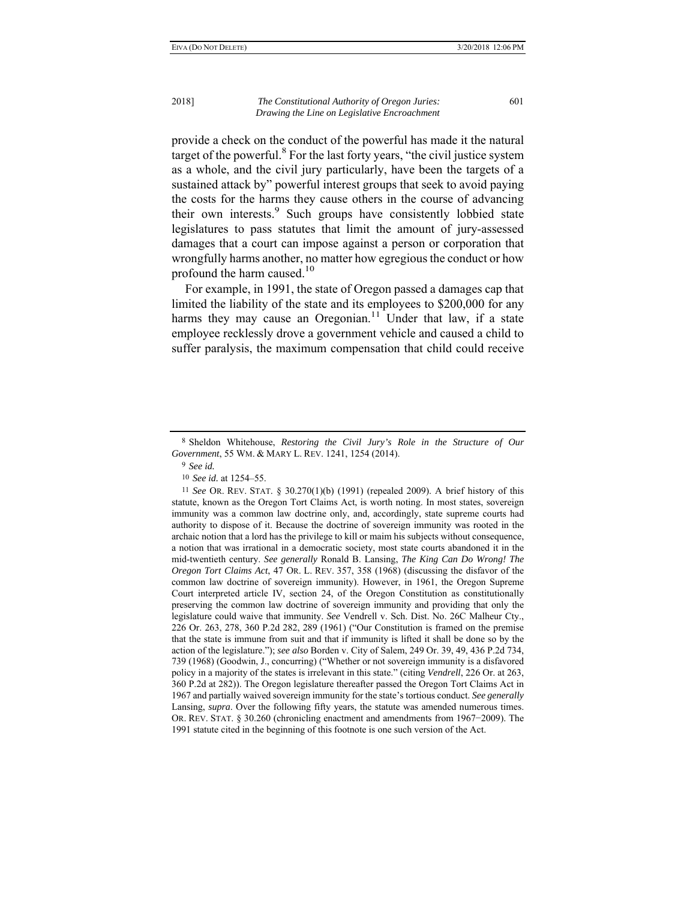provide a check on the conduct of the powerful has made it the natural target of the powerful.<sup>8</sup> For the last forty years, "the civil justice system as a whole, and the civil jury particularly, have been the targets of a sustained attack by" powerful interest groups that seek to avoid paying the costs for the harms they cause others in the course of advancing their own interests.<sup>9</sup> Such groups have consistently lobbied state legislatures to pass statutes that limit the amount of jury-assessed damages that a court can impose against a person or corporation that wrongfully harms another, no matter how egregious the conduct or how profound the harm caused. $10$ 

For example, in 1991, the state of Oregon passed a damages cap that limited the liability of the state and its employees to \$200,000 for any harms they may cause an Oregonian.<sup>11</sup> Under that law, if a state employee recklessly drove a government vehicle and caused a child to suffer paralysis, the maximum compensation that child could receive

11 *See* OR. REV. STAT. § 30.270(1)(b) (1991) (repealed 2009). A brief history of this statute, known as the Oregon Tort Claims Act, is worth noting. In most states, sovereign immunity was a common law doctrine only, and, accordingly, state supreme courts had authority to dispose of it. Because the doctrine of sovereign immunity was rooted in the archaic notion that a lord has the privilege to kill or maim his subjects without consequence, a notion that was irrational in a democratic society, most state courts abandoned it in the mid-twentieth century. *See generally* Ronald B. Lansing, *The King Can Do Wrong! The Oregon Tort Claims Act*, 47 OR. L. REV. 357, 358 (1968) (discussing the disfavor of the common law doctrine of sovereign immunity). However, in 1961, the Oregon Supreme Court interpreted article IV, section 24, of the Oregon Constitution as constitutionally preserving the common law doctrine of sovereign immunity and providing that only the legislature could waive that immunity. *See* Vendrell v. Sch. Dist. No. 26C Malheur Cty., 226 Or. 263, 278, 360 P.2d 282, 289 (1961) ("Our Constitution is framed on the premise that the state is immune from suit and that if immunity is lifted it shall be done so by the action of the legislature."); *see also* Borden v. City of Salem, 249 Or. 39, 49, 436 P.2d 734, 739 (1968) (Goodwin, J., concurring) ("Whether or not sovereign immunity is a disfavored policy in a majority of the states is irrelevant in this state." (citing *Vendrell*, 226 Or. at 263, 360 P.2d at 282)). The Oregon legislature thereafter passed the Oregon Tort Claims Act in 1967 and partially waived sovereign immunity for the state's tortious conduct. *See generally* Lansing, *supra*. Over the following fifty years, the statute was amended numerous times. OR. REV. STAT. § 30.260 (chronicling enactment and amendments from 1967−2009). The 1991 statute cited in the beginning of this footnote is one such version of the Act.

<sup>8</sup> Sheldon Whitehouse, *Restoring the Civil Jury's Role in the Structure of Our Government*, 55 WM. & MARY L. REV. 1241, 1254 (2014).

<sup>9</sup> *See id.*

<sup>10</sup> *See id.* at 1254–55.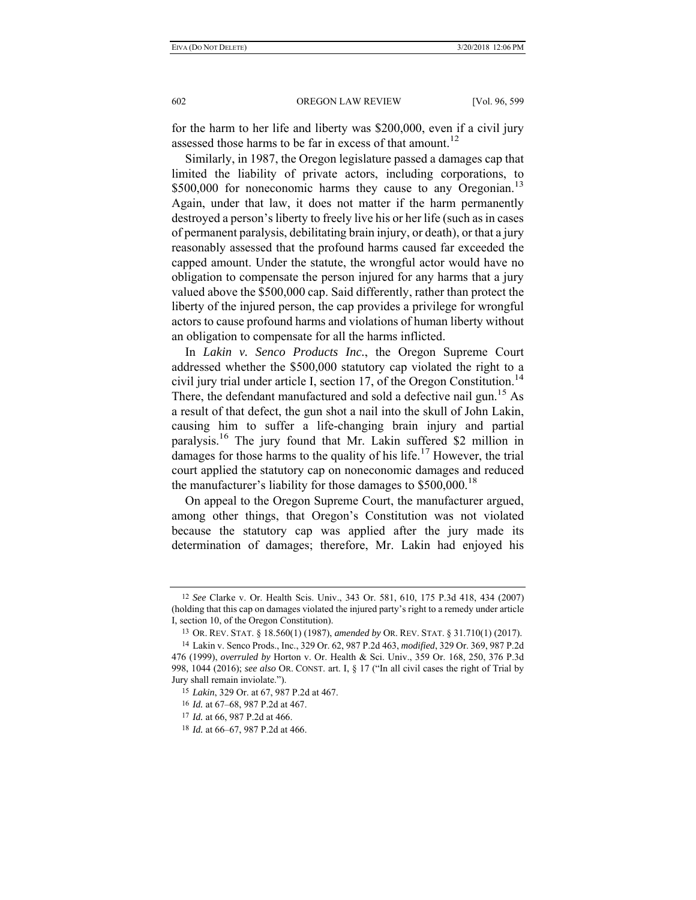for the harm to her life and liberty was \$200,000, even if a civil jury assessed those harms to be far in excess of that amount.<sup>12</sup>

Similarly, in 1987, the Oregon legislature passed a damages cap that limited the liability of private actors, including corporations, to \$500,000 for noneconomic harms they cause to any Oregonian.<sup>13</sup> Again, under that law, it does not matter if the harm permanently destroyed a person's liberty to freely live his or her life (such as in cases of permanent paralysis, debilitating brain injury, or death), or that a jury reasonably assessed that the profound harms caused far exceeded the capped amount. Under the statute, the wrongful actor would have no obligation to compensate the person injured for any harms that a jury valued above the \$500,000 cap. Said differently, rather than protect the liberty of the injured person, the cap provides a privilege for wrongful actors to cause profound harms and violations of human liberty without an obligation to compensate for all the harms inflicted.

In *Lakin v. Senco Products Inc.*, the Oregon Supreme Court addressed whether the \$500,000 statutory cap violated the right to a civil jury trial under article I, section 17, of the Oregon Constitution.<sup>14</sup> There, the defendant manufactured and sold a defective nail gun.<sup>15</sup> As a result of that defect, the gun shot a nail into the skull of John Lakin, causing him to suffer a life-changing brain injury and partial paralysis.16 The jury found that Mr. Lakin suffered \$2 million in damages for those harms to the quality of his life.<sup>17</sup> However, the trial court applied the statutory cap on noneconomic damages and reduced the manufacturer's liability for those damages to  $$500,000$ .<sup>18</sup>

On appeal to the Oregon Supreme Court, the manufacturer argued, among other things, that Oregon's Constitution was not violated because the statutory cap was applied after the jury made its determination of damages; therefore, Mr. Lakin had enjoyed his

<sup>12</sup> *See* Clarke v. Or. Health Scis. Univ., 343 Or. 581, 610, 175 P.3d 418, 434 (2007) (holding that this cap on damages violated the injured party's right to a remedy under article I, section 10, of the Oregon Constitution).

<sup>13</sup> OR. REV. STAT. § 18.560(1) (1987), *amended by* OR. REV. STAT. § 31.710(1) (2017).

<sup>14</sup> Lakin v. Senco Prods., Inc., 329 Or. 62, 987 P.2d 463, *modified*, 329 Or. 369, 987 P.2d 476 (1999), *overruled by* Horton v. Or. Health & Sci. Univ., 359 Or. 168, 250, 376 P.3d 998, 1044 (2016); *see also* OR. CONST. art. I, § 17 ("In all civil cases the right of Trial by Jury shall remain inviolate.").

<sup>15</sup> *Lakin*, 329 Or. at 67, 987 P.2d at 467.

<sup>16</sup> *Id.* at 67–68, 987 P.2d at 467.

<sup>17</sup> *Id.* at 66, 987 P.2d at 466.

<sup>18</sup> *Id.* at 66–67, 987 P.2d at 466.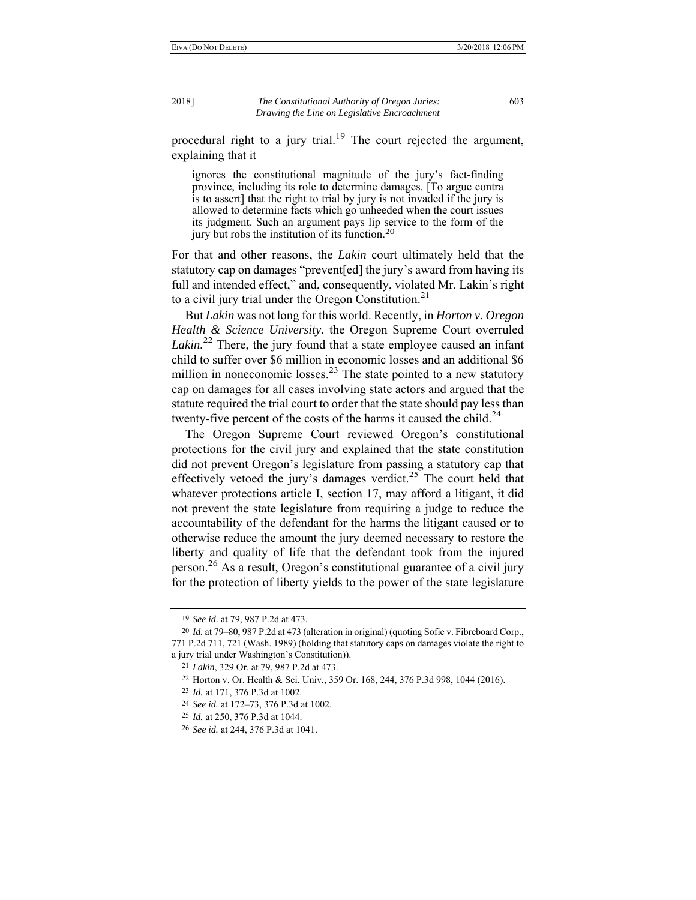procedural right to a jury trial.<sup>19</sup> The court rejected the argument, explaining that it

ignores the constitutional magnitude of the jury's fact-finding province, including its role to determine damages. [To argue contra is to assert] that the right to trial by jury is not invaded if the jury is allowed to determine facts which go unheeded when the court issues its judgment. Such an argument pays lip service to the form of the jury but robs the institution of its function.20

For that and other reasons, the *Lakin* court ultimately held that the statutory cap on damages "prevent[ed] the jury's award from having its full and intended effect," and, consequently, violated Mr. Lakin's right to a civil jury trial under the Oregon Constitution.<sup>21</sup>

But *Lakin* was not long for this world. Recently, in *Horton v. Oregon Health & Science University*, the Oregon Supreme Court overruled Lakin.<sup>22</sup> There, the jury found that a state employee caused an infant child to suffer over \$6 million in economic losses and an additional \$6 million in noneconomic losses.<sup>23</sup> The state pointed to a new statutory cap on damages for all cases involving state actors and argued that the statute required the trial court to order that the state should pay less than twenty-five percent of the costs of the harms it caused the child.<sup>24</sup>

The Oregon Supreme Court reviewed Oregon's constitutional protections for the civil jury and explained that the state constitution did not prevent Oregon's legislature from passing a statutory cap that effectively vetoed the jury's damages verdict.<sup>25</sup> The court held that whatever protections article I, section 17, may afford a litigant, it did not prevent the state legislature from requiring a judge to reduce the accountability of the defendant for the harms the litigant caused or to otherwise reduce the amount the jury deemed necessary to restore the liberty and quality of life that the defendant took from the injured person.26 As a result, Oregon's constitutional guarantee of a civil jury for the protection of liberty yields to the power of the state legislature

<sup>19</sup> *See id.* at 79, 987 P.2d at 473.

<sup>20</sup> *Id.* at 79–80, 987 P.2d at 473 (alteration in original) (quoting Sofie v. Fibreboard Corp., 771 P.2d 711, 721 (Wash. 1989) (holding that statutory caps on damages violate the right to a jury trial under Washington's Constitution)).

<sup>21</sup> *Lakin*, 329 Or. at 79, 987 P.2d at 473.

<sup>22</sup> Horton v. Or. Health & Sci. Univ*.*, 359 Or. 168, 244, 376 P.3d 998, 1044 (2016).

<sup>23</sup> *Id.* at 171, 376 P.3d at 1002.

<sup>24</sup> *See id.* at 172–73, 376 P.3d at 1002.

<sup>25</sup> *Id.* at 250, 376 P.3d at 1044.

<sup>26</sup> *See id.* at 244, 376 P.3d at 1041.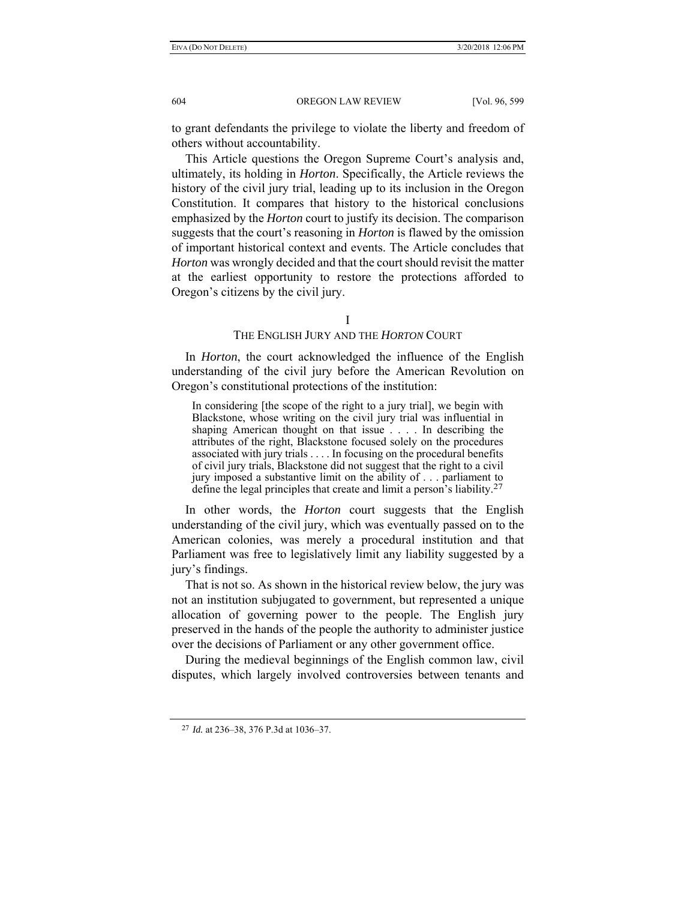to grant defendants the privilege to violate the liberty and freedom of others without accountability.

This Article questions the Oregon Supreme Court's analysis and, ultimately, its holding in *Horton*. Specifically, the Article reviews the history of the civil jury trial, leading up to its inclusion in the Oregon Constitution. It compares that history to the historical conclusions emphasized by the *Horton* court to justify its decision. The comparison suggests that the court's reasoning in *Horton* is flawed by the omission of important historical context and events. The Article concludes that *Horton* was wrongly decided and that the court should revisit the matter at the earliest opportunity to restore the protections afforded to Oregon's citizens by the civil jury.

### I

# THE ENGLISH JURY AND THE *HORTON* COURT

In *Horton*, the court acknowledged the influence of the English understanding of the civil jury before the American Revolution on Oregon's constitutional protections of the institution:

In considering [the scope of the right to a jury trial], we begin with Blackstone, whose writing on the civil jury trial was influential in shaping American thought on that issue . . . . In describing the attributes of the right, Blackstone focused solely on the procedures associated with jury trials . . . . In focusing on the procedural benefits of civil jury trials, Blackstone did not suggest that the right to a civil jury imposed a substantive limit on the ability of . . . parliament to define the legal principles that create and limit a person's liability.27

In other words, the *Horton* court suggests that the English understanding of the civil jury, which was eventually passed on to the American colonies, was merely a procedural institution and that Parliament was free to legislatively limit any liability suggested by a jury's findings.

That is not so. As shown in the historical review below, the jury was not an institution subjugated to government, but represented a unique allocation of governing power to the people. The English jury preserved in the hands of the people the authority to administer justice over the decisions of Parliament or any other government office.

During the medieval beginnings of the English common law, civil disputes, which largely involved controversies between tenants and

<sup>27</sup> *Id.* at 236–38, 376 P.3d at 1036–37.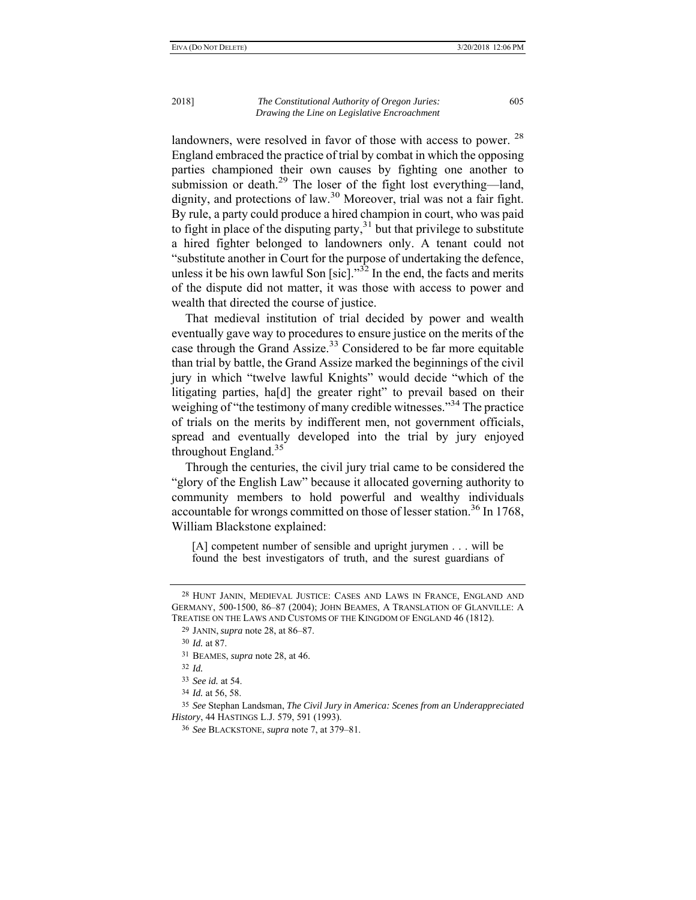landowners, were resolved in favor of those with access to power. <sup>28</sup> England embraced the practice of trial by combat in which the opposing parties championed their own causes by fighting one another to submission or death.<sup>29</sup> The loser of the fight lost everything—land, dignity, and protections of law.<sup>30</sup> Moreover, trial was not a fair fight. By rule, a party could produce a hired champion in court, who was paid to fight in place of the disputing party, $31$  but that privilege to substitute a hired fighter belonged to landowners only. A tenant could not "substitute another in Court for the purpose of undertaking the defence, unless it be his own lawful Son [sic]." $32$  In the end, the facts and merits of the dispute did not matter, it was those with access to power and wealth that directed the course of justice.

That medieval institution of trial decided by power and wealth eventually gave way to procedures to ensure justice on the merits of the case through the Grand Assize.<sup>33</sup> Considered to be far more equitable than trial by battle, the Grand Assize marked the beginnings of the civil jury in which "twelve lawful Knights" would decide "which of the litigating parties, ha[d] the greater right" to prevail based on their weighing of "the testimony of many credible witnesses."<sup>34</sup> The practice of trials on the merits by indifferent men, not government officials, spread and eventually developed into the trial by jury enjoyed throughout England. $35$ 

Through the centuries, the civil jury trial came to be considered the "glory of the English Law" because it allocated governing authority to community members to hold powerful and wealthy individuals accountable for wrongs committed on those of lesser station.<sup>36</sup> In 1768, William Blackstone explained:

[A] competent number of sensible and upright jurymen . . . will be found the best investigators of truth, and the surest guardians of

<sup>28</sup> HUNT JANIN, MEDIEVAL JUSTICE: CASES AND LAWS IN FRANCE, ENGLAND AND GERMANY, 500-1500, 86–87 (2004); JOHN BEAMES, A TRANSLATION OF GLANVILLE: A TREATISE ON THE LAWS AND CUSTOMS OF THE KINGDOM OF ENGLAND 46 (1812).

<sup>29</sup> JANIN, *supra* note 28, at 86–87.

<sup>30</sup> *Id.* at 87.

<sup>31</sup> BEAMES, *supra* note 28, at 46.

<sup>32</sup> *Id.*

<sup>33</sup> *See id.* at 54.

<sup>34</sup> *Id.* at 56, 58.

<sup>35</sup> *See* Stephan Landsman, *The Civil Jury in America: Scenes from an Underappreciated History*, 44 HASTINGS L.J. 579, 591 (1993).

<sup>36</sup> *See* BLACKSTONE, *supra* note 7, at 379–81.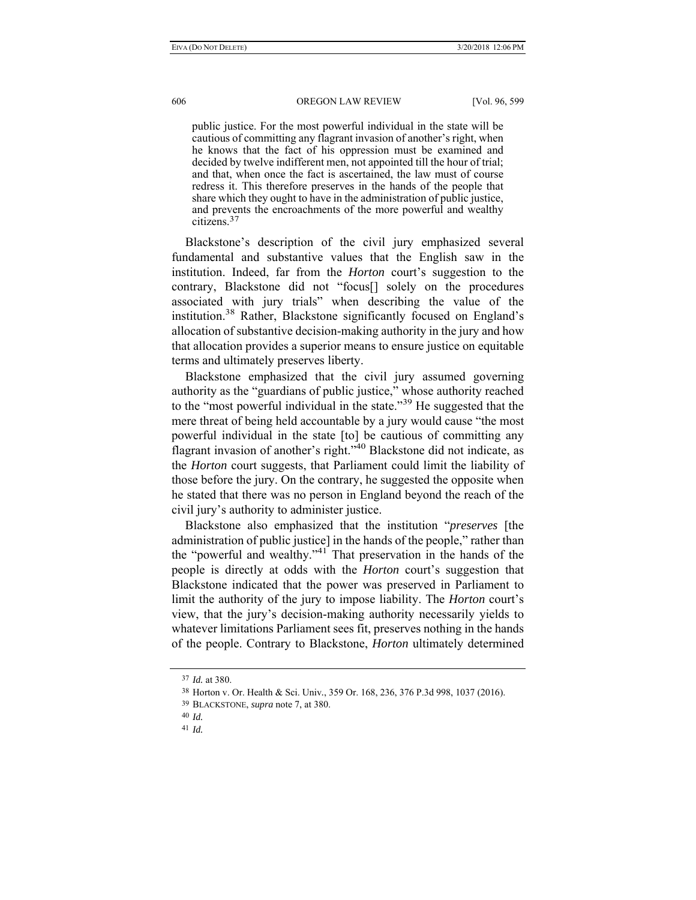public justice. For the most powerful individual in the state will be cautious of committing any flagrant invasion of another's right, when he knows that the fact of his oppression must be examined and decided by twelve indifferent men, not appointed till the hour of trial; and that, when once the fact is ascertained, the law must of course redress it. This therefore preserves in the hands of the people that share which they ought to have in the administration of public justice, and prevents the encroachments of the more powerful and wealthy citizens.37

Blackstone's description of the civil jury emphasized several fundamental and substantive values that the English saw in the institution. Indeed, far from the *Horton* court's suggestion to the contrary, Blackstone did not "focus[] solely on the procedures associated with jury trials" when describing the value of the institution.38 Rather, Blackstone significantly focused on England's allocation of substantive decision-making authority in the jury and how that allocation provides a superior means to ensure justice on equitable terms and ultimately preserves liberty.

Blackstone emphasized that the civil jury assumed governing authority as the "guardians of public justice," whose authority reached to the "most powerful individual in the state."39 He suggested that the mere threat of being held accountable by a jury would cause "the most powerful individual in the state [to] be cautious of committing any flagrant invasion of another's right."40 Blackstone did not indicate, as the *Horton* court suggests, that Parliament could limit the liability of those before the jury. On the contrary, he suggested the opposite when he stated that there was no person in England beyond the reach of the civil jury's authority to administer justice.

Blackstone also emphasized that the institution "*preserves* [the administration of public justice] in the hands of the people," rather than the "powerful and wealthy."41 That preservation in the hands of the people is directly at odds with the *Horton* court's suggestion that Blackstone indicated that the power was preserved in Parliament to limit the authority of the jury to impose liability. The *Horton* court's view, that the jury's decision-making authority necessarily yields to whatever limitations Parliament sees fit, preserves nothing in the hands of the people. Contrary to Blackstone, *Horton* ultimately determined

<sup>37</sup> *Id.* at 380.

<sup>38</sup> Horton v. Or. Health & Sci. Univ*.*, 359 Or. 168, 236, 376 P.3d 998, 1037 (2016).

<sup>39</sup> BLACKSTONE, *supra* note 7, at 380.

<sup>40</sup> *Id.*

<sup>41</sup> *Id.*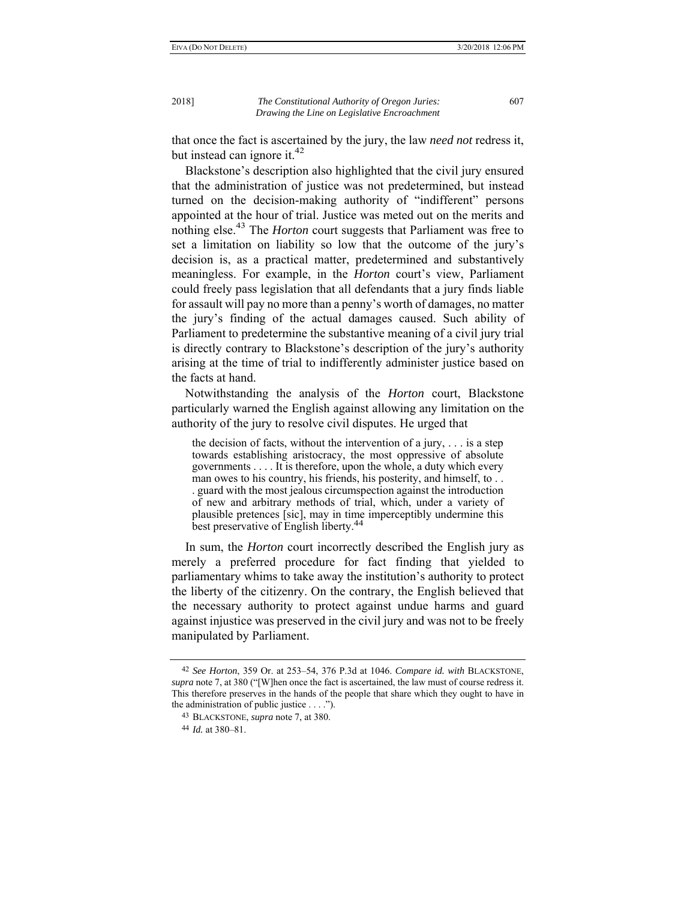that once the fact is ascertained by the jury, the law *need not* redress it, but instead can ignore it. $42$ 

Blackstone's description also highlighted that the civil jury ensured that the administration of justice was not predetermined, but instead turned on the decision-making authority of "indifferent" persons appointed at the hour of trial. Justice was meted out on the merits and nothing else.<sup>43</sup> The *Horton* court suggests that Parliament was free to set a limitation on liability so low that the outcome of the jury's decision is, as a practical matter, predetermined and substantively meaningless. For example, in the *Horton* court's view, Parliament could freely pass legislation that all defendants that a jury finds liable for assault will pay no more than a penny's worth of damages, no matter the jury's finding of the actual damages caused. Such ability of Parliament to predetermine the substantive meaning of a civil jury trial is directly contrary to Blackstone's description of the jury's authority arising at the time of trial to indifferently administer justice based on the facts at hand.

Notwithstanding the analysis of the *Horton* court, Blackstone particularly warned the English against allowing any limitation on the authority of the jury to resolve civil disputes. He urged that

the decision of facts, without the intervention of a jury, . . . is a step towards establishing aristocracy, the most oppressive of absolute governments . . . . It is therefore, upon the whole, a duty which every man owes to his country, his friends, his posterity, and himself, to . . . guard with the most jealous circumspection against the introduction of new and arbitrary methods of trial, which, under a variety of plausible pretences [sic], may in time imperceptibly undermine this best preservative of English liberty.<sup>44</sup>

In sum, the *Horton* court incorrectly described the English jury as merely a preferred procedure for fact finding that yielded to parliamentary whims to take away the institution's authority to protect the liberty of the citizenry. On the contrary, the English believed that the necessary authority to protect against undue harms and guard against injustice was preserved in the civil jury and was not to be freely manipulated by Parliament.

<sup>42</sup> *See Horton*, 359 Or. at 253–54, 376 P.3d at 1046. *Compare id. with* BLACKSTONE, *supra* note 7, at 380 ("[W]hen once the fact is ascertained, the law must of course redress it. This therefore preserves in the hands of the people that share which they ought to have in the administration of public justice . . . .").

<sup>43</sup> BLACKSTONE, *supra* note 7, at 380.

<sup>44</sup> *Id.* at 380–81.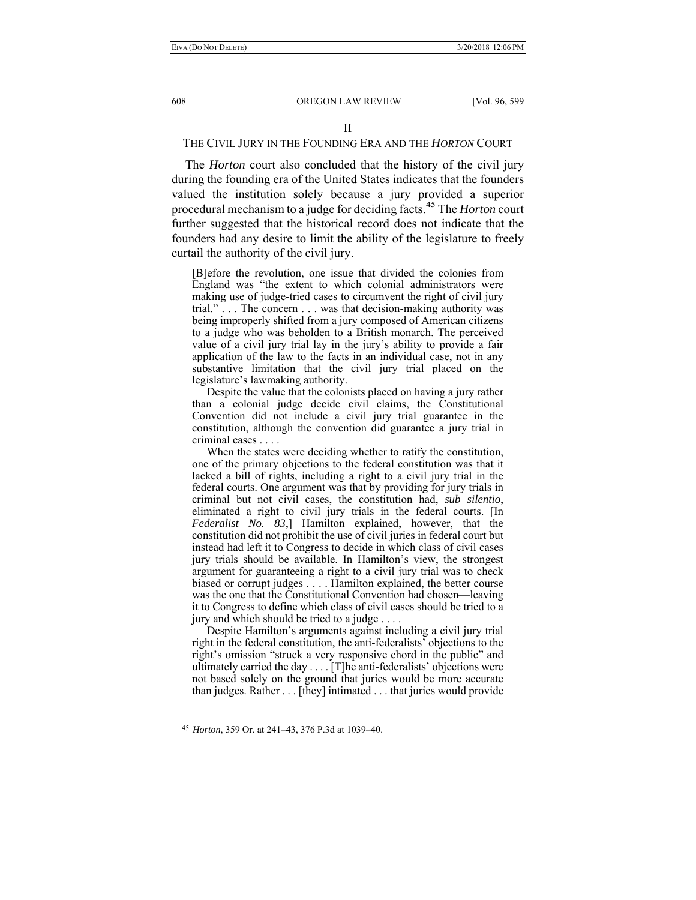# THE CIVIL JURY IN THE FOUNDING ERA AND THE *HORTON* COURT

The *Horton* court also concluded that the history of the civil jury during the founding era of the United States indicates that the founders valued the institution solely because a jury provided a superior procedural mechanism to a judge for deciding facts.45 The *Horton* court further suggested that the historical record does not indicate that the founders had any desire to limit the ability of the legislature to freely curtail the authority of the civil jury.

[B]efore the revolution, one issue that divided the colonies from England was "the extent to which colonial administrators were making use of judge-tried cases to circumvent the right of civil jury trial." . . . The concern . . . was that decision-making authority was being improperly shifted from a jury composed of American citizens to a judge who was beholden to a British monarch. The perceived value of a civil jury trial lay in the jury's ability to provide a fair application of the law to the facts in an individual case, not in any substantive limitation that the civil jury trial placed on the legislature's lawmaking authority.

 Despite the value that the colonists placed on having a jury rather than a colonial judge decide civil claims, the Constitutional Convention did not include a civil jury trial guarantee in the constitution, although the convention did guarantee a jury trial in criminal cases . . . .

When the states were deciding whether to ratify the constitution. one of the primary objections to the federal constitution was that it lacked a bill of rights, including a right to a civil jury trial in the federal courts. One argument was that by providing for jury trials in criminal but not civil cases, the constitution had, *sub silentio*, eliminated a right to civil jury trials in the federal courts. [In *Federalist No. 83*,] Hamilton explained, however, that the constitution did not prohibit the use of civil juries in federal court but instead had left it to Congress to decide in which class of civil cases jury trials should be available. In Hamilton's view, the strongest argument for guaranteeing a right to a civil jury trial was to check biased or corrupt judges . . . . Hamilton explained, the better course was the one that the Constitutional Convention had chosen—leaving it to Congress to define which class of civil cases should be tried to a jury and which should be tried to a judge . . . .

 Despite Hamilton's arguments against including a civil jury trial right in the federal constitution, the anti-federalists' objections to the right's omission "struck a very responsive chord in the public" and ultimately carried the day . . . . [T]he anti-federalists' objections were not based solely on the ground that juries would be more accurate than judges. Rather . . . [they] intimated . . . that juries would provide

<sup>45</sup> *Horton*, 359 Or. at 241–43, 376 P.3d at 1039–40.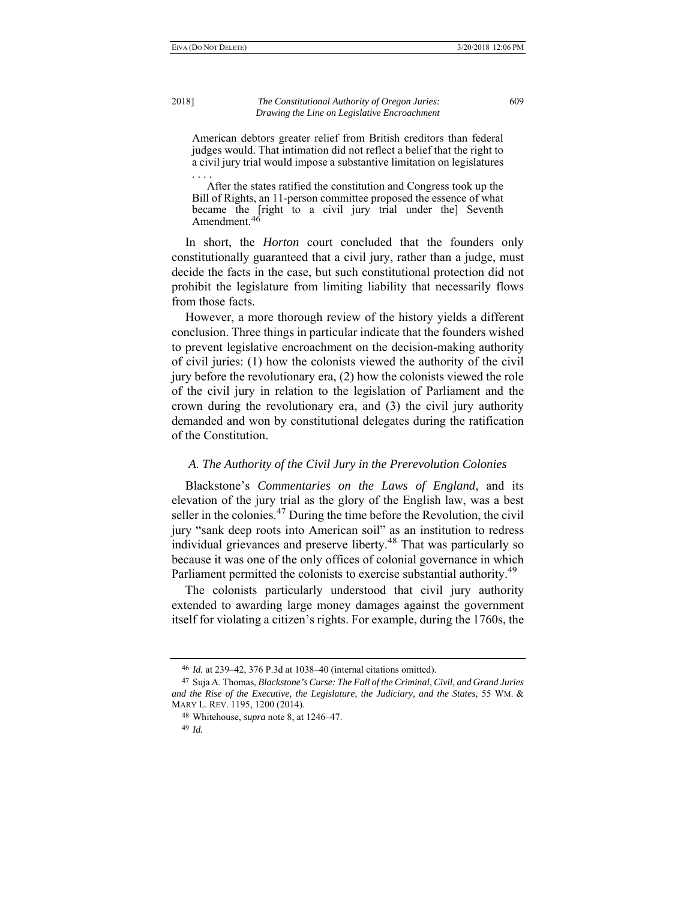American debtors greater relief from British creditors than federal judges would. That intimation did not reflect a belief that the right to a civil jury trial would impose a substantive limitation on legislatures

. . . . After the states ratified the constitution and Congress took up the Bill of Rights, an 11-person committee proposed the essence of what became the [right to a civil jury trial under the] Seventh Amendment.<sup>46</sup>

In short, the *Horton* court concluded that the founders only constitutionally guaranteed that a civil jury, rather than a judge, must decide the facts in the case, but such constitutional protection did not prohibit the legislature from limiting liability that necessarily flows from those facts.

However, a more thorough review of the history yields a different conclusion. Three things in particular indicate that the founders wished to prevent legislative encroachment on the decision-making authority of civil juries: (1) how the colonists viewed the authority of the civil jury before the revolutionary era, (2) how the colonists viewed the role of the civil jury in relation to the legislation of Parliament and the crown during the revolutionary era, and (3) the civil jury authority demanded and won by constitutional delegates during the ratification of the Constitution.

# *A. The Authority of the Civil Jury in the Prerevolution Colonies*

Blackstone's *Commentaries on the Laws of England*, and its elevation of the jury trial as the glory of the English law, was a best seller in the colonies. $47$  During the time before the Revolution, the civil jury "sank deep roots into American soil" as an institution to redress individual grievances and preserve liberty.<sup>48</sup> That was particularly so because it was one of the only offices of colonial governance in which Parliament permitted the colonists to exercise substantial authority.<sup>49</sup>

The colonists particularly understood that civil jury authority extended to awarding large money damages against the government itself for violating a citizen's rights. For example, during the 1760s, the

49 *Id.*

<sup>46</sup> *Id.* at 239–42, 376 P.3d at 1038–40 (internal citations omitted).

<sup>47</sup> Suja A. Thomas, *Blackstone's Curse: The Fall of the Criminal, Civil, and Grand Juries and the Rise of the Executive, the Legislature, the Judiciary, and the States*, 55 WM. & MARY L. REV. 1195, 1200 (2014).

<sup>48</sup> Whitehouse, *supra* note 8, at 1246–47.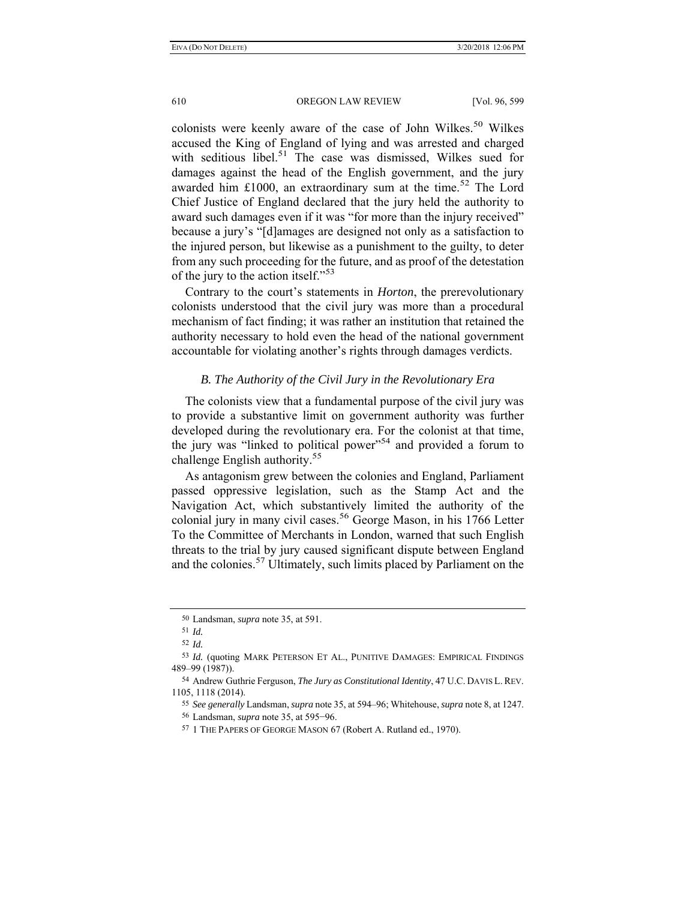colonists were keenly aware of the case of John Wilkes.<sup>50</sup> Wilkes accused the King of England of lying and was arrested and charged with seditious libel. $51$  The case was dismissed, Wilkes sued for damages against the head of the English government, and the jury awarded him £1000, an extraordinary sum at the time.<sup>52</sup> The Lord Chief Justice of England declared that the jury held the authority to award such damages even if it was "for more than the injury received" because a jury's "[d]amages are designed not only as a satisfaction to the injured person, but likewise as a punishment to the guilty, to deter from any such proceeding for the future, and as proof of the detestation of the jury to the action itself."<sup>53</sup>

Contrary to the court's statements in *Horton*, the prerevolutionary colonists understood that the civil jury was more than a procedural mechanism of fact finding; it was rather an institution that retained the authority necessary to hold even the head of the national government accountable for violating another's rights through damages verdicts.

### *B. The Authority of the Civil Jury in the Revolutionary Era*

The colonists view that a fundamental purpose of the civil jury was to provide a substantive limit on government authority was further developed during the revolutionary era. For the colonist at that time, the jury was "linked to political power"<sup>54</sup> and provided a forum to challenge English authority.<sup>55</sup>

As antagonism grew between the colonies and England, Parliament passed oppressive legislation, such as the Stamp Act and the Navigation Act, which substantively limited the authority of the colonial jury in many civil cases.<sup>56</sup> George Mason, in his 1766 Letter To the Committee of Merchants in London, warned that such English threats to the trial by jury caused significant dispute between England and the colonies.<sup>57</sup> Ultimately, such limits placed by Parliament on the

<sup>50</sup> Landsman, *supra* note 35, at 591.

<sup>51</sup> *Id.*

<sup>52</sup> *Id.* 

<sup>53</sup> *Id.* (quoting MARK PETERSON ET AL., PUNITIVE DAMAGES: EMPIRICAL FINDINGS 489–99 (1987)).

<sup>54</sup> Andrew Guthrie Ferguson, *The Jury as Constitutional Identity*, 47 U.C. DAVIS L. REV. 1105, 1118 (2014).

<sup>55</sup> *See generally* Landsman, *supra* note 35, at 594–96; Whitehouse, *supra* note 8, at 1247. 56 Landsman, *supra* note 35, at 595−96.

<sup>57</sup> 1 THE PAPERS OF GEORGE MASON 67 (Robert A. Rutland ed., 1970).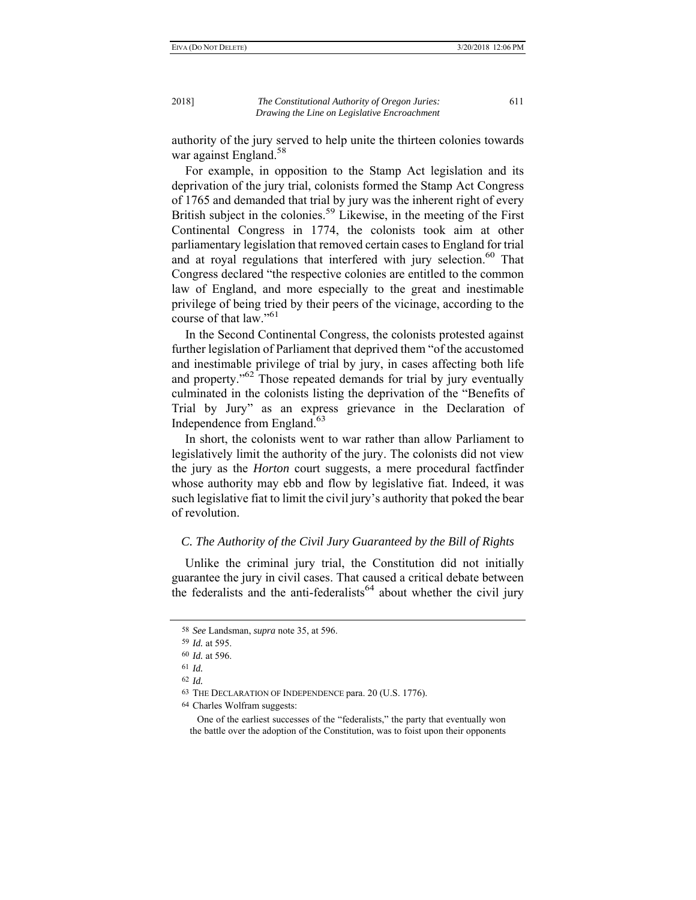authority of the jury served to help unite the thirteen colonies towards war against England.<sup>58</sup>

For example, in opposition to the Stamp Act legislation and its deprivation of the jury trial, colonists formed the Stamp Act Congress of 1765 and demanded that trial by jury was the inherent right of every British subject in the colonies.<sup>59</sup> Likewise, in the meeting of the First Continental Congress in 1774, the colonists took aim at other parliamentary legislation that removed certain cases to England for trial and at royal regulations that interfered with jury selection.<sup>60</sup> That Congress declared "the respective colonies are entitled to the common law of England, and more especially to the great and inestimable privilege of being tried by their peers of the vicinage, according to the course of that law."<sup>61</sup>

In the Second Continental Congress, the colonists protested against further legislation of Parliament that deprived them "of the accustomed and inestimable privilege of trial by jury, in cases affecting both life and property.<sup>562</sup> Those repeated demands for trial by jury eventually culminated in the colonists listing the deprivation of the "Benefits of Trial by Jury" as an express grievance in the Declaration of Independence from England.<sup>63</sup>

In short, the colonists went to war rather than allow Parliament to legislatively limit the authority of the jury. The colonists did not view the jury as the *Horton* court suggests, a mere procedural factfinder whose authority may ebb and flow by legislative fiat. Indeed, it was such legislative fiat to limit the civil jury's authority that poked the bear of revolution.

# *C. The Authority of the Civil Jury Guaranteed by the Bill of Rights*

Unlike the criminal jury trial, the Constitution did not initially guarantee the jury in civil cases. That caused a critical debate between the federalists and the anti-federalists<sup>64</sup> about whether the civil jury

<sup>58</sup> *See* Landsman, *supra* note 35, at 596.

<sup>59</sup> *Id.* at 595.

<sup>60</sup> *Id.* at 596.

<sup>61</sup> *Id.*

<sup>62</sup> *Id.*

<sup>63</sup> THE DECLARATION OF INDEPENDENCE para. 20 (U.S. 1776).

<sup>64</sup> Charles Wolfram suggests:

One of the earliest successes of the "federalists," the party that eventually won the battle over the adoption of the Constitution, was to foist upon their opponents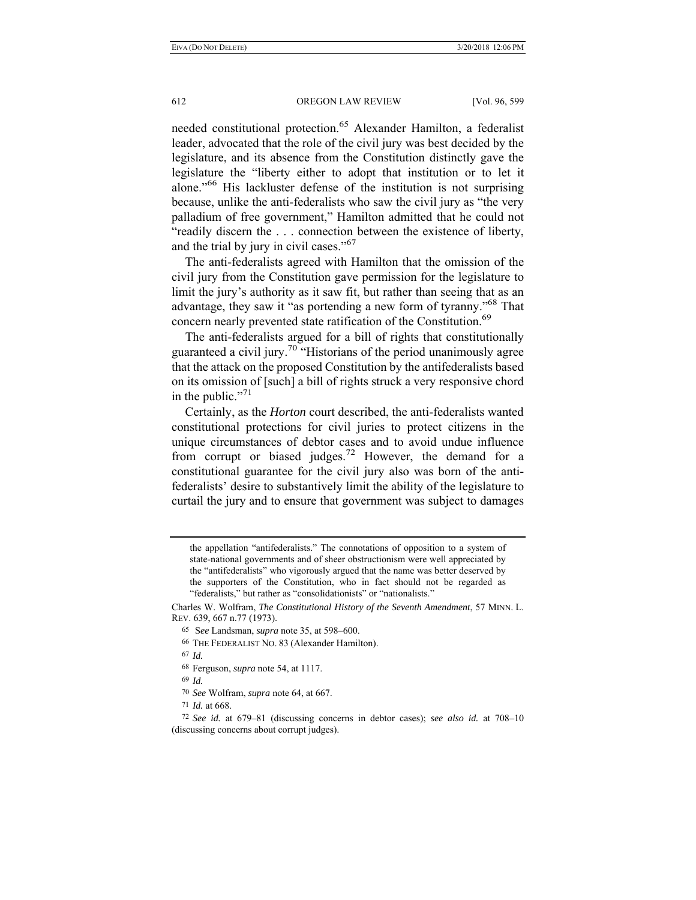needed constitutional protection.<sup>65</sup> Alexander Hamilton, a federalist leader, advocated that the role of the civil jury was best decided by the legislature, and its absence from the Constitution distinctly gave the legislature the "liberty either to adopt that institution or to let it alone."66 His lackluster defense of the institution is not surprising because, unlike the anti-federalists who saw the civil jury as "the very palladium of free government," Hamilton admitted that he could not "readily discern the . . . connection between the existence of liberty, and the trial by jury in civil cases."<sup>67</sup>

The anti-federalists agreed with Hamilton that the omission of the civil jury from the Constitution gave permission for the legislature to limit the jury's authority as it saw fit, but rather than seeing that as an advantage, they saw it "as portending a new form of tyranny."68 That concern nearly prevented state ratification of the Constitution.<sup>69</sup>

The anti-federalists argued for a bill of rights that constitutionally guaranteed a civil jury.70 "Historians of the period unanimously agree that the attack on the proposed Constitution by the antifederalists based on its omission of [such] a bill of rights struck a very responsive chord in the public."<sup>71</sup>

Certainly, as the *Horton* court described, the anti-federalists wanted constitutional protections for civil juries to protect citizens in the unique circumstances of debtor cases and to avoid undue influence from corrupt or biased judges.72 However, the demand for a constitutional guarantee for the civil jury also was born of the antifederalists' desire to substantively limit the ability of the legislature to curtail the jury and to ensure that government was subject to damages

67 *Id.*

68 Ferguson, *supra* note 54, at 1117.

69 *Id.*

70 *See* Wolfram, *supra* note 64, at 667.

71 *Id.* at 668.

the appellation "antifederalists." The connotations of opposition to a system of state-national governments and of sheer obstructionism were well appreciated by the "antifederalists" who vigorously argued that the name was better deserved by the supporters of the Constitution, who in fact should not be regarded as "federalists," but rather as "consolidationists" or "nationalists."

Charles W. Wolfram, *The Constitutional History of the Seventh Amendment*, 57 MINN. L. REV. 639, 667 n.77 (1973).

<sup>65</sup> S*ee* Landsman, *supra* note 35, at 598–600.

<sup>66</sup> THE FEDERALIST NO. 83 (Alexander Hamilton).

<sup>72</sup> *See id.* at 679–81 (discussing concerns in debtor cases); *see also id.* at 708–10 (discussing concerns about corrupt judges).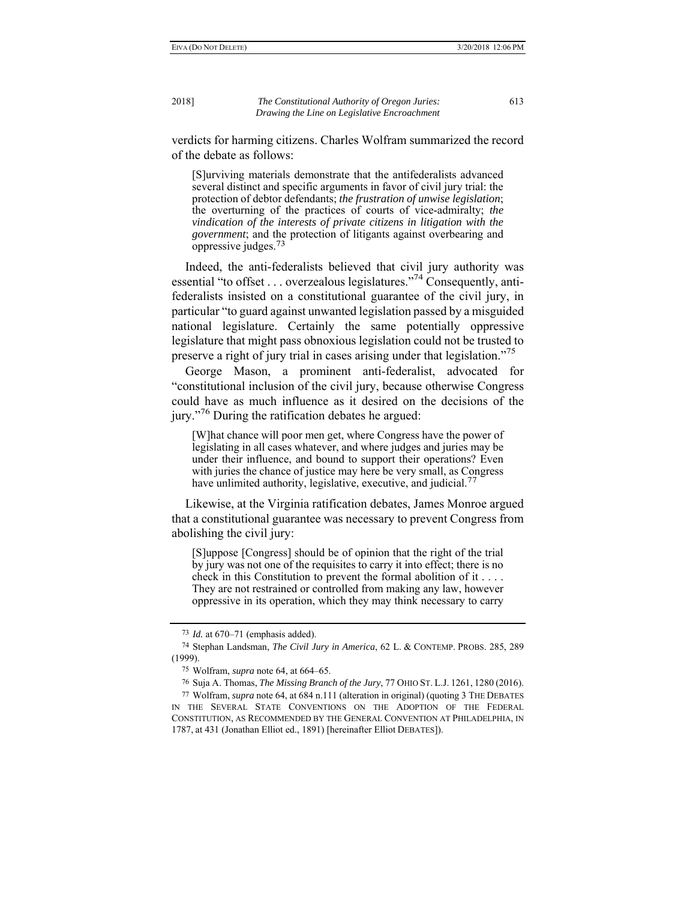verdicts for harming citizens. Charles Wolfram summarized the record of the debate as follows:

[S]urviving materials demonstrate that the antifederalists advanced several distinct and specific arguments in favor of civil jury trial: the protection of debtor defendants; *the frustration of unwise legislation*; the overturning of the practices of courts of vice-admiralty; *the vindication of the interests of private citizens in litigation with the government*; and the protection of litigants against overbearing and oppressive judges.73

Indeed, the anti-federalists believed that civil jury authority was essential "to offset . . . overzealous legislatures."74 Consequently, antifederalists insisted on a constitutional guarantee of the civil jury, in particular "to guard against unwanted legislation passed by a misguided national legislature. Certainly the same potentially oppressive legislature that might pass obnoxious legislation could not be trusted to preserve a right of jury trial in cases arising under that legislation."<sup>75</sup>

George Mason, a prominent anti-federalist, advocated for "constitutional inclusion of the civil jury, because otherwise Congress could have as much influence as it desired on the decisions of the jury."<sup>76</sup> During the ratification debates he argued:

[W]hat chance will poor men get, where Congress have the power of legislating in all cases whatever, and where judges and juries may be under their influence, and bound to support their operations? Even with juries the chance of justice may here be very small, as Congress have unlimited authority, legislative, executive, and judicial.<sup>77</sup>

Likewise, at the Virginia ratification debates, James Monroe argued that a constitutional guarantee was necessary to prevent Congress from abolishing the civil jury:

[S]uppose [Congress] should be of opinion that the right of the trial by jury was not one of the requisites to carry it into effect; there is no check in this Constitution to prevent the formal abolition of it . . . . They are not restrained or controlled from making any law, however oppressive in its operation, which they may think necessary to carry

<sup>73</sup> *Id.* at 670–71 (emphasis added).

<sup>74</sup> Stephan Landsman, *The Civil Jury in America*, 62 L. & CONTEMP. PROBS. 285, 289 (1999).

<sup>75</sup> Wolfram, *supra* note 64, at 664–65.

<sup>76</sup> Suja A. Thomas, *The Missing Branch of the Jury*, 77 OHIO ST. L.J. 1261, 1280 (2016).

<sup>77</sup> Wolfram, *supra* note 64, at 684 n.111 (alteration in original) (quoting 3 THE DEBATES IN THE SEVERAL STATE CONVENTIONS ON THE ADOPTION OF THE FEDERAL CONSTITUTION, AS RECOMMENDED BY THE GENERAL CONVENTION AT PHILADELPHIA, IN 1787, at 431 (Jonathan Elliot ed., 1891) [hereinafter Elliot DEBATES]).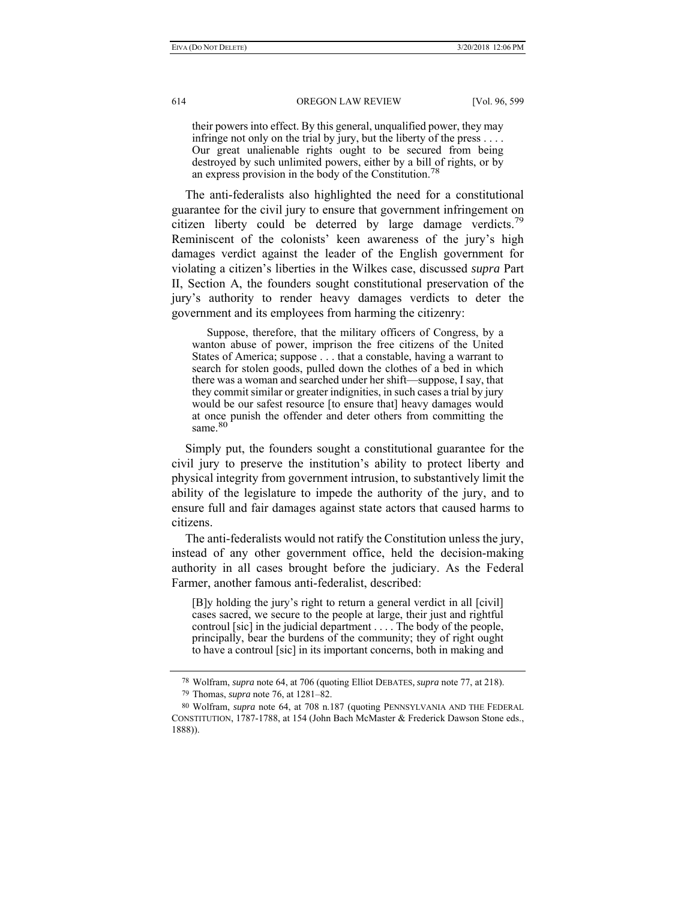their powers into effect. By this general, unqualified power, they may infringe not only on the trial by jury, but the liberty of the press . . . . Our great unalienable rights ought to be secured from being destroyed by such unlimited powers, either by a bill of rights, or by an express provision in the body of the Constitution.<sup>78</sup>

The anti-federalists also highlighted the need for a constitutional guarantee for the civil jury to ensure that government infringement on citizen liberty could be deterred by large damage verdicts.<sup>79</sup> Reminiscent of the colonists' keen awareness of the jury's high damages verdict against the leader of the English government for violating a citizen's liberties in the Wilkes case, discussed *supra* Part II, Section A, the founders sought constitutional preservation of the jury's authority to render heavy damages verdicts to deter the government and its employees from harming the citizenry:

 Suppose, therefore, that the military officers of Congress, by a wanton abuse of power, imprison the free citizens of the United States of America; suppose . . . that a constable, having a warrant to search for stolen goods, pulled down the clothes of a bed in which there was a woman and searched under her shift—suppose, I say, that they commit similar or greater indignities, in such cases a trial by jury would be our safest resource [to ensure that] heavy damages would at once punish the offender and deter others from committing the same.<sup>80</sup>

Simply put, the founders sought a constitutional guarantee for the civil jury to preserve the institution's ability to protect liberty and physical integrity from government intrusion, to substantively limit the ability of the legislature to impede the authority of the jury, and to ensure full and fair damages against state actors that caused harms to citizens.

The anti-federalists would not ratify the Constitution unless the jury, instead of any other government office, held the decision-making authority in all cases brought before the judiciary. As the Federal Farmer, another famous anti-federalist, described:

[B]y holding the jury's right to return a general verdict in all [civil] cases sacred, we secure to the people at large, their just and rightful controul [sic] in the judicial department . . . . The body of the people, principally, bear the burdens of the community; they of right ought to have a controul [sic] in its important concerns, both in making and

<sup>78</sup> Wolfram, *supra* note 64, at 706 (quoting Elliot DEBATES*, supra* note 77, at 218).

<sup>79</sup> Thomas, *supra* note 76, at 1281–82.

<sup>80</sup> Wolfram, *supra* note 64, at 708 n.187 (quoting PENNSYLVANIA AND THE FEDERAL CONSTITUTION, 1787-1788, at 154 (John Bach McMaster & Frederick Dawson Stone eds., 1888)).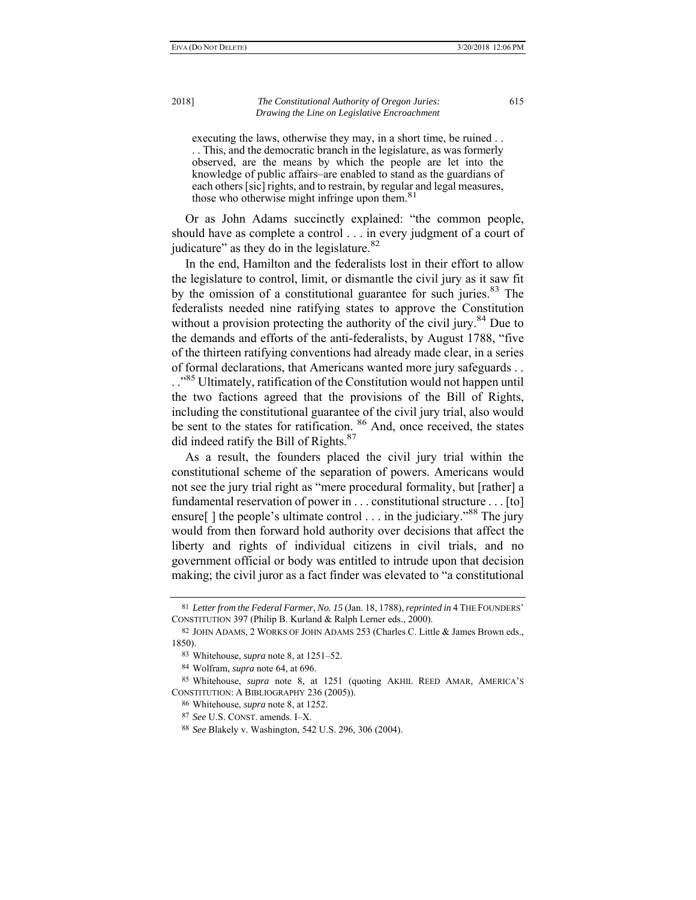executing the laws, otherwise they may, in a short time, be ruined . . . . This, and the democratic branch in the legislature, as was formerly observed, are the means by which the people are let into the knowledge of public affairs–are enabled to stand as the guardians of each others [sic] rights, and to restrain, by regular and legal measures, those who otherwise might infringe upon them.<sup>81</sup>

Or as John Adams succinctly explained: "the common people, should have as complete a control . . . in every judgment of a court of iudicature" as they do in the legislature. $82$ 

In the end, Hamilton and the federalists lost in their effort to allow the legislature to control, limit, or dismantle the civil jury as it saw fit by the omission of a constitutional guarantee for such juries.<sup>83</sup> The federalists needed nine ratifying states to approve the Constitution without a provision protecting the authority of the civil jury.<sup>84</sup> Due to the demands and efforts of the anti-federalists, by August 1788, "five of the thirteen ratifying conventions had already made clear, in a series of formal declarations, that Americans wanted more jury safeguards . .

..<sup>85</sup> Ultimately, ratification of the Constitution would not happen until the two factions agreed that the provisions of the Bill of Rights, including the constitutional guarantee of the civil jury trial, also would be sent to the states for ratification. <sup>86</sup> And, once received, the states did indeed ratify the Bill of Rights.<sup>87</sup>

As a result, the founders placed the civil jury trial within the constitutional scheme of the separation of powers. Americans would not see the jury trial right as "mere procedural formality, but [rather] a fundamental reservation of power in . . . constitutional structure . . . [to] ensure[] the people's ultimate control . . . in the judiciary."<sup>88</sup> The jury would from then forward hold authority over decisions that affect the liberty and rights of individual citizens in civil trials, and no government official or body was entitled to intrude upon that decision making; the civil juror as a fact finder was elevated to "a constitutional

<sup>81</sup> *Letter from the Federal Farmer, No. 15* (Jan. 18, 1788), *reprinted in* 4 THE FOUNDERS' CONSTITUTION 397 (Philip B. Kurland & Ralph Lerner eds., 2000).

<sup>82</sup> JOHN ADAMS, 2 WORKS OF JOHN ADAMS 253 (Charles C. Little & James Brown eds., 1850).

<sup>83</sup> Whitehouse, *supra* note 8, at 1251–52.

<sup>84</sup> Wolfram, *supra* note 64, at 696.

<sup>85</sup> Whitehouse, *supra* note 8, at 1251 (quoting AKHIL REED AMAR, AMERICA'S CONSTITUTION: A BIBLIOGRAPHY 236 (2005)).

<sup>86</sup> Whitehouse, *supra* note 8, at 1252.

<sup>87</sup> *See* U.S. CONST. amends. I–X.

<sup>88</sup> *See* Blakely v. Washington, 542 U.S. 296, 306 (2004).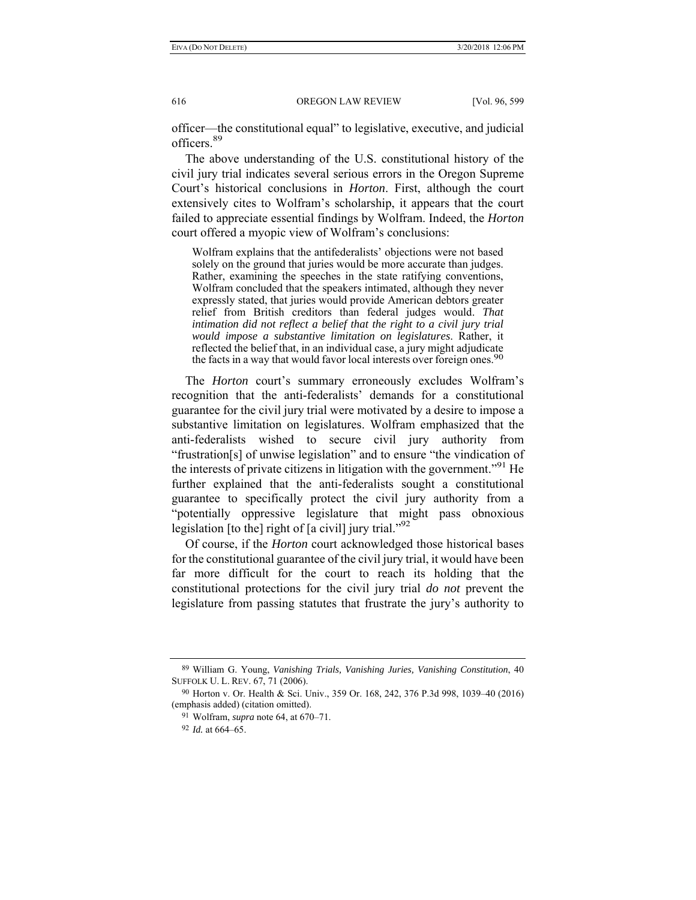officer—the constitutional equal" to legislative, executive, and judicial officers.<sup>89</sup>

The above understanding of the U.S. constitutional history of the civil jury trial indicates several serious errors in the Oregon Supreme Court's historical conclusions in *Horton*. First, although the court extensively cites to Wolfram's scholarship, it appears that the court failed to appreciate essential findings by Wolfram. Indeed, the *Horton*  court offered a myopic view of Wolfram's conclusions:

Wolfram explains that the antifederalists' objections were not based solely on the ground that juries would be more accurate than judges. Rather, examining the speeches in the state ratifying conventions, Wolfram concluded that the speakers intimated, although they never expressly stated, that juries would provide American debtors greater relief from British creditors than federal judges would. *That intimation did not reflect a belief that the right to a civil jury trial would impose a substantive limitation on legislatures*. Rather, it reflected the belief that, in an individual case, a jury might adjudicate the facts in a way that would favor local interests over foreign ones.<sup>90</sup>

The *Horton* court's summary erroneously excludes Wolfram's recognition that the anti-federalists' demands for a constitutional guarantee for the civil jury trial were motivated by a desire to impose a substantive limitation on legislatures. Wolfram emphasized that the anti-federalists wished to secure civil jury authority from "frustration[s] of unwise legislation" and to ensure "the vindication of the interests of private citizens in litigation with the government.<sup> $2^{91}$ </sup> He further explained that the anti-federalists sought a constitutional guarantee to specifically protect the civil jury authority from a "potentially oppressive legislature that might pass obnoxious legislation [to the] right of [a civil] jury trial."<sup>92</sup>

Of course, if the *Horton* court acknowledged those historical bases for the constitutional guarantee of the civil jury trial, it would have been far more difficult for the court to reach its holding that the constitutional protections for the civil jury trial *do not* prevent the legislature from passing statutes that frustrate the jury's authority to

<sup>89</sup> William G. Young, *Vanishing Trials, Vanishing Juries, Vanishing Constitution*, 40 SUFFOLK U. L. REV. 67, 71 (2006).

<sup>90</sup> Horton v. Or. Health & Sci. Univ., 359 Or. 168, 242, 376 P.3d 998, 1039–40 (2016) (emphasis added) (citation omitted).

<sup>91</sup> Wolfram, *supra* note 64, at 670–71.

<sup>92</sup> *Id.* at 664–65.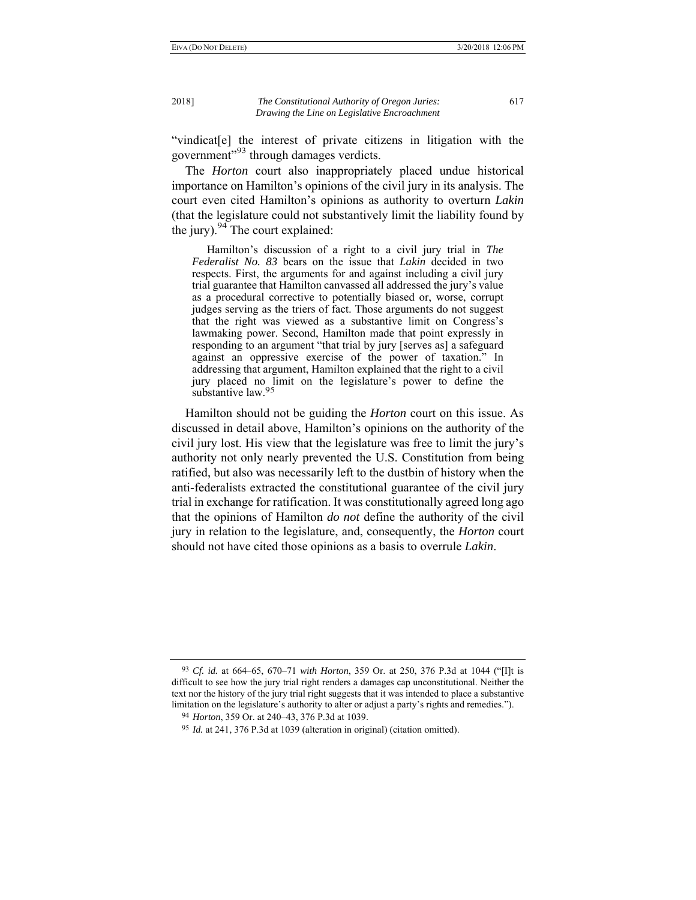"vindicat[e] the interest of private citizens in litigation with the government"<sup>93</sup> through damages verdicts.

The *Horton* court also inappropriately placed undue historical importance on Hamilton's opinions of the civil jury in its analysis. The court even cited Hamilton's opinions as authority to overturn *Lakin*  (that the legislature could not substantively limit the liability found by the jury).  $94$  The court explained:

 Hamilton's discussion of a right to a civil jury trial in *The Federalist No. 83* bears on the issue that *Lakin* decided in two respects. First, the arguments for and against including a civil jury trial guarantee that Hamilton canvassed all addressed the jury's value as a procedural corrective to potentially biased or, worse, corrupt judges serving as the triers of fact. Those arguments do not suggest that the right was viewed as a substantive limit on Congress's lawmaking power. Second, Hamilton made that point expressly in responding to an argument "that trial by jury [serves as] a safeguard against an oppressive exercise of the power of taxation." In addressing that argument, Hamilton explained that the right to a civil jury placed no limit on the legislature's power to define the substantive law.<sup>95</sup>

Hamilton should not be guiding the *Horton* court on this issue. As discussed in detail above, Hamilton's opinions on the authority of the civil jury lost. His view that the legislature was free to limit the jury's authority not only nearly prevented the U.S. Constitution from being ratified, but also was necessarily left to the dustbin of history when the anti-federalists extracted the constitutional guarantee of the civil jury trial in exchange for ratification. It was constitutionally agreed long ago that the opinions of Hamilton *do not* define the authority of the civil jury in relation to the legislature, and, consequently, the *Horton* court should not have cited those opinions as a basis to overrule *Lakin*.

<sup>93</sup> *Cf. id.* at 664–65, 670–71 *with Horton*, 359 Or. at 250, 376 P.3d at 1044 ("[I]t is difficult to see how the jury trial right renders a damages cap unconstitutional. Neither the text nor the history of the jury trial right suggests that it was intended to place a substantive limitation on the legislature's authority to alter or adjust a party's rights and remedies.").

<sup>94</sup> *Horton*, 359 Or. at 240–43, 376 P.3d at 1039.

<sup>95</sup> *Id.* at 241, 376 P.3d at 1039 (alteration in original) (citation omitted).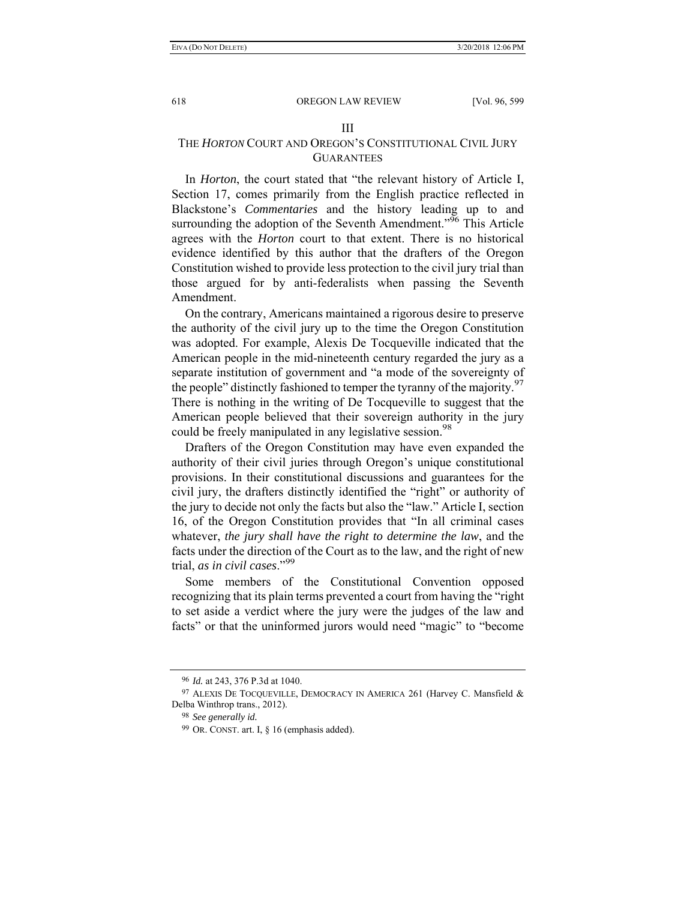#### III

# THE *HORTON* COURT AND OREGON'S CONSTITUTIONAL CIVIL JURY **GUARANTEES**

In *Horton*, the court stated that "the relevant history of Article I, Section 17, comes primarily from the English practice reflected in Blackstone's *Commentaries* and the history leading up to and surrounding the adoption of the Seventh Amendment.<sup> $96$ </sup> This Article agrees with the *Horton* court to that extent. There is no historical evidence identified by this author that the drafters of the Oregon Constitution wished to provide less protection to the civil jury trial than those argued for by anti-federalists when passing the Seventh Amendment.

On the contrary, Americans maintained a rigorous desire to preserve the authority of the civil jury up to the time the Oregon Constitution was adopted. For example, Alexis De Tocqueville indicated that the American people in the mid-nineteenth century regarded the jury as a separate institution of government and "a mode of the sovereignty of the people" distinctly fashioned to temper the tyranny of the majority.<sup>97</sup> There is nothing in the writing of De Tocqueville to suggest that the American people believed that their sovereign authority in the jury could be freely manipulated in any legislative session.<sup>98</sup>

Drafters of the Oregon Constitution may have even expanded the authority of their civil juries through Oregon's unique constitutional provisions. In their constitutional discussions and guarantees for the civil jury, the drafters distinctly identified the "right" or authority of the jury to decide not only the facts but also the "law." Article I, section 16, of the Oregon Constitution provides that "In all criminal cases whatever, *the jury shall have the right to determine the law*, and the facts under the direction of the Court as to the law, and the right of new trial, *as in civil cases*."<sup>99</sup>

Some members of the Constitutional Convention opposed recognizing that its plain terms prevented a court from having the "right to set aside a verdict where the jury were the judges of the law and facts" or that the uninformed jurors would need "magic" to "become

<sup>96</sup> *Id.* at 243, 376 P.3d at 1040.

<sup>97</sup> ALEXIS DE TOCQUEVILLE, DEMOCRACY IN AMERICA 261 (Harvey C. Mansfield & Delba Winthrop trans., 2012).

<sup>98</sup> *See generally id.*

<sup>99</sup> OR. CONST. art. I, § 16 (emphasis added).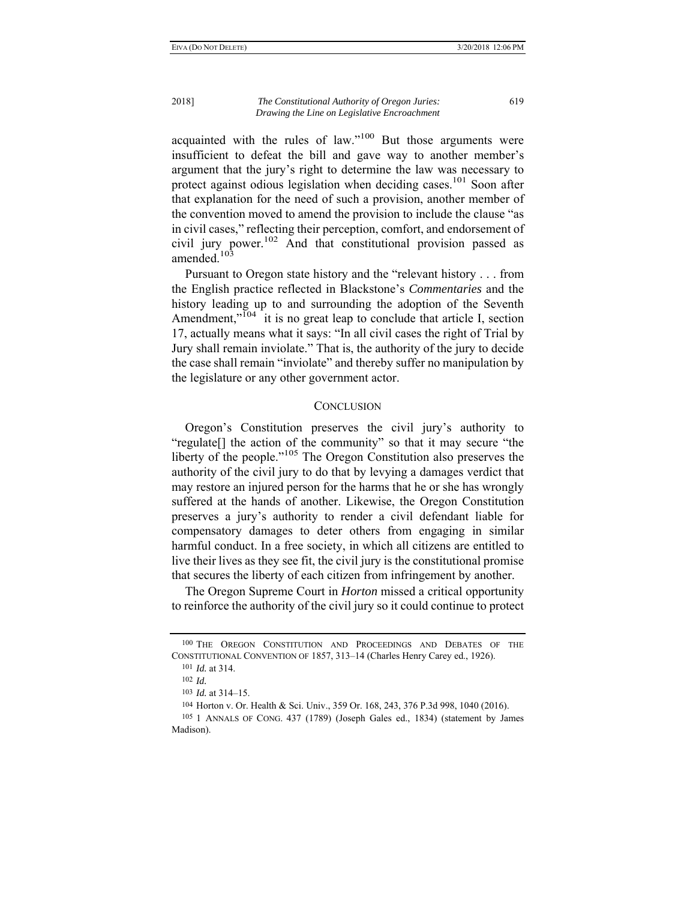acquainted with the rules of law."100 But those arguments were insufficient to defeat the bill and gave way to another member's argument that the jury's right to determine the law was necessary to protect against odious legislation when deciding cases.<sup>101</sup> Soon after that explanation for the need of such a provision, another member of the convention moved to amend the provision to include the clause "as in civil cases," reflecting their perception, comfort, and endorsement of civil jury power.102 And that constitutional provision passed as amended.<sup>103</sup>

Pursuant to Oregon state history and the "relevant history . . . from the English practice reflected in Blackstone's *Commentaries* and the history leading up to and surrounding the adoption of the Seventh Amendment,"<sup>104</sup> it is no great leap to conclude that article I, section 17, actually means what it says: "In all civil cases the right of Trial by Jury shall remain inviolate." That is, the authority of the jury to decide the case shall remain "inviolate" and thereby suffer no manipulation by the legislature or any other government actor.

# **CONCLUSION**

Oregon's Constitution preserves the civil jury's authority to "regulate[] the action of the community" so that it may secure "the liberty of the people."<sup>105</sup> The Oregon Constitution also preserves the authority of the civil jury to do that by levying a damages verdict that may restore an injured person for the harms that he or she has wrongly suffered at the hands of another. Likewise, the Oregon Constitution preserves a jury's authority to render a civil defendant liable for compensatory damages to deter others from engaging in similar harmful conduct. In a free society, in which all citizens are entitled to live their lives as they see fit, the civil jury is the constitutional promise that secures the liberty of each citizen from infringement by another.

The Oregon Supreme Court in *Horton* missed a critical opportunity to reinforce the authority of the civil jury so it could continue to protect

<sup>100</sup> THE OREGON CONSTITUTION AND PROCEEDINGS AND DEBATES OF THE CONSTITUTIONAL CONVENTION OF 1857, 313–14 (Charles Henry Carey ed., 1926).

<sup>101</sup> *Id.* at 314.

<sup>102</sup> *Id.* 

<sup>103</sup> *Id.* at 314–15.

<sup>104</sup> Horton v. Or. Health & Sci. Univ., 359 Or. 168, 243, 376 P.3d 998, 1040 (2016).

<sup>105</sup> 1 ANNALS OF CONG. 437 (1789) (Joseph Gales ed., 1834) (statement by James Madison).